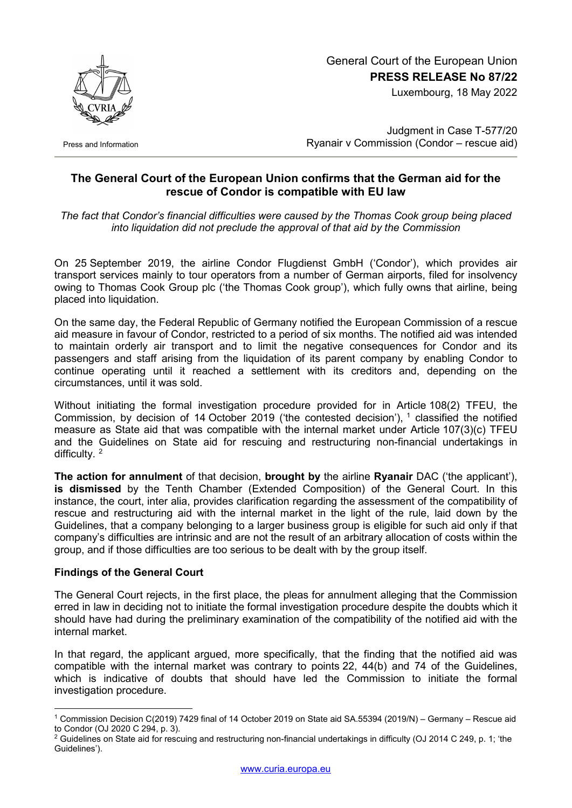

Press and Information

## General Court of the European Union **PRESS RELEASE No 87/22**

Luxembourg, 18 May 2022

Judgment in Case T-577/20 Ryanair v Commission (Condor – rescue aid)

## **The General Court of the European Union confirms that the German aid for the rescue of Condor is compatible with EU law**

*The fact that Condor's financial difficulties were caused by the Thomas Cook group being placed into liquidation did not preclude the approval of that aid by the Commission*

On 25 September 2019, the airline Condor Flugdienst GmbH ('Condor'), which provides air transport services mainly to tour operators from a number of German airports, filed for insolvency owing to Thomas Cook Group plc ('the Thomas Cook group'), which fully owns that airline, being placed into liquidation.

On the same day, the Federal Republic of Germany notified the European Commission of a rescue aid measure in favour of Condor, restricted to a period of six months. The notified aid was intended to maintain orderly air transport and to limit the negative consequences for Condor and its passengers and staff arising from the liquidation of its parent company by enabling Condor to continue operating until it reached a settlement with its creditors and, depending on the circumstances, until it was sold.

Without initiating the formal investigation procedure provided for in Article 108(2) TFEU, the Commission, by decision of [1](#page-0-0)4 October 2019 ('the contested decision'), <sup>1</sup> classified the notified measure as State aid that was compatible with the internal market under Article 107(3)(c) TFEU and the Guidelines on State aid for rescuing and restructuring non-financial undertakings in difficulty. [2](#page-0-1)

**The action for annulment** of that decision, **brought by** the airline **Ryanair** DAC ('the applicant'), **is dismissed** by the Tenth Chamber (Extended Composition) of the General Court. In this instance, the court, inter alia, provides clarification regarding the assessment of the compatibility of rescue and restructuring aid with the internal market in the light of the rule, laid down by the Guidelines, that a company belonging to a larger business group is eligible for such aid only if that company's difficulties are intrinsic and are not the result of an arbitrary allocation of costs within the group, and if those difficulties are too serious to be dealt with by the group itself.

## **Findings of the General Court**

The General Court rejects, in the first place, the pleas for annulment alleging that the Commission erred in law in deciding not to initiate the formal investigation procedure despite the doubts which it should have had during the preliminary examination of the compatibility of the notified aid with the internal market.

In that regard, the applicant argued, more specifically, that the finding that the notified aid was compatible with the internal market was contrary to points 22, 44(b) and 74 of the Guidelines, which is indicative of doubts that should have led the Commission to initiate the formal investigation procedure.

<span id="page-0-0"></span><sup>-</sup><sup>1</sup> Commission Decision C(2019) 7429 final of 14 October 2019 on State aid SA.55394 (2019/N) – Germany – Rescue aid to Condor (OJ 2020 C 294, p. 3).

<span id="page-0-1"></span><sup>2</sup> Guidelines on State aid for rescuing and restructuring non-financial undertakings in difficulty (OJ 2014 C 249, p. 1; 'the Guidelines').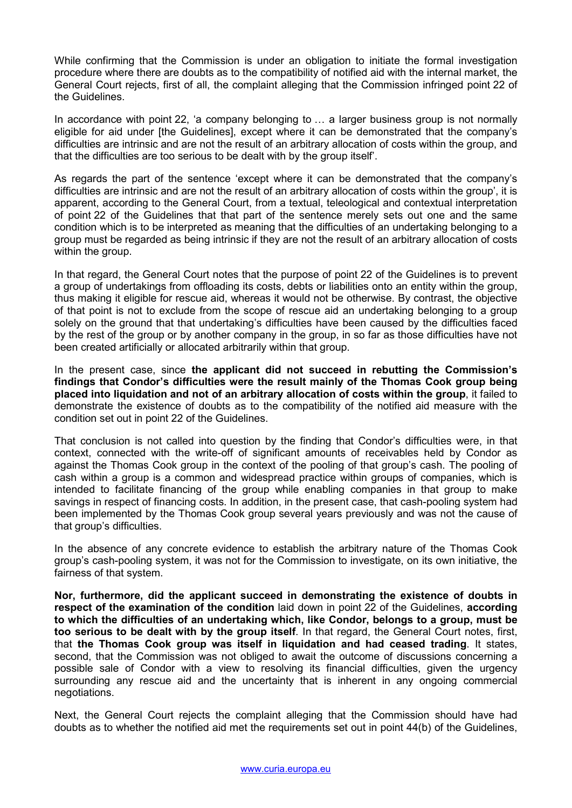While confirming that the Commission is under an obligation to initiate the formal investigation procedure where there are doubts as to the compatibility of notified aid with the internal market, the General Court rejects, first of all, the complaint alleging that the Commission infringed point 22 of the Guidelines.

In accordance with point 22, 'a company belonging to ... a larger business group is not normally eligible for aid under [the Guidelines], except where it can be demonstrated that the company's difficulties are intrinsic and are not the result of an arbitrary allocation of costs within the group, and that the difficulties are too serious to be dealt with by the group itself'.

As regards the part of the sentence 'except where it can be demonstrated that the company's difficulties are intrinsic and are not the result of an arbitrary allocation of costs within the group', it is apparent, according to the General Court, from a textual, teleological and contextual interpretation of point 22 of the Guidelines that that part of the sentence merely sets out one and the same condition which is to be interpreted as meaning that the difficulties of an undertaking belonging to a group must be regarded as being intrinsic if they are not the result of an arbitrary allocation of costs within the group.

In that regard, the General Court notes that the purpose of point 22 of the Guidelines is to prevent a group of undertakings from offloading its costs, debts or liabilities onto an entity within the group, thus making it eligible for rescue aid, whereas it would not be otherwise. By contrast, the objective of that point is not to exclude from the scope of rescue aid an undertaking belonging to a group solely on the ground that that undertaking's difficulties have been caused by the difficulties faced by the rest of the group or by another company in the group, in so far as those difficulties have not been created artificially or allocated arbitrarily within that group.

In the present case, since **the applicant did not succeed in rebutting the Commission's findings that Condor's difficulties were the result mainly of the Thomas Cook group being placed into liquidation and not of an arbitrary allocation of costs within the group**, it failed to demonstrate the existence of doubts as to the compatibility of the notified aid measure with the condition set out in point 22 of the Guidelines.

That conclusion is not called into question by the finding that Condor's difficulties were, in that context, connected with the write-off of significant amounts of receivables held by Condor as against the Thomas Cook group in the context of the pooling of that group's cash. The pooling of cash within a group is a common and widespread practice within groups of companies, which is intended to facilitate financing of the group while enabling companies in that group to make savings in respect of financing costs. In addition, in the present case, that cash-pooling system had been implemented by the Thomas Cook group several years previously and was not the cause of that group's difficulties.

In the absence of any concrete evidence to establish the arbitrary nature of the Thomas Cook group's cash-pooling system, it was not for the Commission to investigate, on its own initiative, the fairness of that system.

**Nor, furthermore, did the applicant succeed in demonstrating the existence of doubts in respect of the examination of the condition** laid down in point 22 of the Guidelines, **according to which the difficulties of an undertaking which, like Condor, belongs to a group, must be too serious to be dealt with by the group itself**. In that regard, the General Court notes, first, that **the Thomas Cook group was itself in liquidation and had ceased trading**. It states, second, that the Commission was not obliged to await the outcome of discussions concerning a possible sale of Condor with a view to resolving its financial difficulties, given the urgency surrounding any rescue aid and the uncertainty that is inherent in any ongoing commercial negotiations.

Next, the General Court rejects the complaint alleging that the Commission should have had doubts as to whether the notified aid met the requirements set out in point 44(b) of the Guidelines,